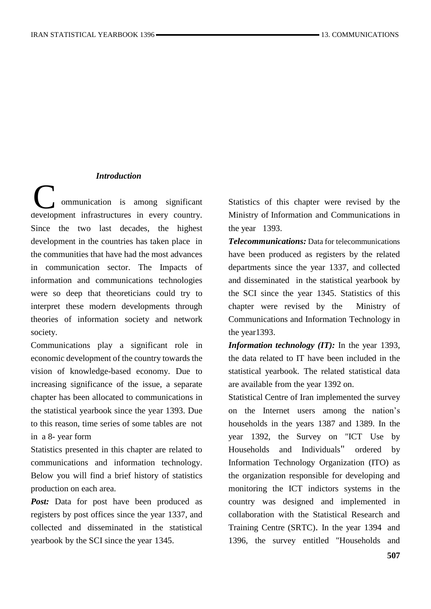#### *Introduction*

 ommunication is among significant Communication is among significant<br>development infrastructures in every country. Since the two last decades, the highest development in the countries has taken place in the communities that have had the most advances in communication sector. The Impacts of information and communications technologies were so deep that theoreticians could try to interpret these modern developments through theories of information society and network society.

Communications play a significant role in economic development of the country towards the vision of knowledge-based economy. Due to increasing significance of the issue, a separate chapter has been allocated to communications in the statistical yearbook since the year 1393. Due to this reason, time series of some tables are not in a 8- year form

Statistics presented in this chapter are related to communications and information technology. Below you will find a brief history of statistics production on each area.

Post: Data for post have been produced as registers by post offices since the year 1337, and collected and disseminated in the statistical yearbook by the SCI since the year 1345.

Statistics of this chapter were revised by the Ministry of Information and Communications in the year 1393.

*Telecommunications:* Data for telecommunications have been produced as registers by the related departments since the year 1337, and collected and disseminated in the statistical yearbook by the SCI since the year 1345. Statistics of this chapter were revised by the Ministry of Communications and Information Technology in the year1393.

*Information technology (IT):* In the year 1393, the data related to IT have been included in the statistical yearbook. The related statistical data are available from the year 1392 on.

Statistical Centre of Iran implemented the survey on the Internet users among the nation's households in the years 1387 and 1389. In the year 1392, the Survey on "ICT Use by Households and Individuals" ordered b[y](http://ito.gov.ir/web/en) [Information Technology Organization](http://ito.gov.ir/web/en) (ITO) as the organization responsible for developing and monitoring the ICT indictors systems in the country was designed and implemented in collaboration with the Statistical Research and Training Centre (SRTC). In the year 1394 and 1396, the survey entitled "Households and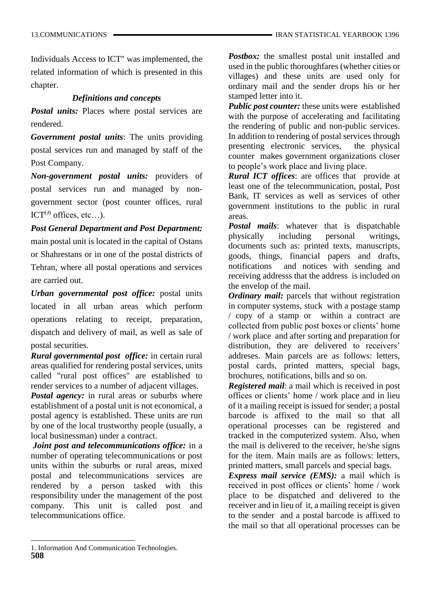Individuals Access to ICT" was implemented, the related information of which is presented in this chapter.

#### *Definitions and concepts*

*Postal units:* Places where postal services are rendered.

*Government postal units*: The units providing postal services run and managed by staff of the Post Company.

*Non-government postal units:* providers of postal services run and managed by nongovernment sector (post counter offices, rural ICT<sup>( $I$ )</sup> offices, etc...).

*Post General Department and Post Department:*  main postal unit is located in the capital of Ostans or Shahrestans or in one of the postal districts of Tehran, where all postal operations and services are carried out.

*Urban governmental post office:* postal units located in all urban areas which perform operations relating to receipt, preparation, dispatch and delivery of mail, as well as sale of postal securities.

*Rural governmental post office:* in certain rural areas qualified for rendering postal services, units called "rural post offices" are established to render services to a number of adjacent villages.

*Postal agency:* in rural areas or suburbs where establishment of a postal unit is not economical, a postal agency is established. These units are run by one of the local trustworthy people (usually, a local businessman) under a contract.

*Joint post and telecommunications office:* in a number of operating telecommunications or post units within the suburbs or rural areas, mixed postal and telecommunications services are rendered by a person tasked with this responsibility under the management of the post company. This unit is called post and telecommunications office.

*Postbox:* the smallest postal unit installed and used in the public thoroughfares (whether cities or villages) and these units are used only for ordinary mail and the sender drops his or her stamped letter into it.

*Public post counter:* these units were established with the purpose of accelerating and facilitating the rendering of public and non-public services. In addition to rendering of postal services through presenting electronic services, the physical counter makes government organizations closer to people's work place and living place.

*Rural ICT offices*: are offices that provide at least one of the telecommunication, postal, Post Bank, IT services as well as services of other government institutions to the public in rural areas.

*Postal mails*: whatever that is dispatchable physically including personal writings, documents such as: printed texts, manuscripts, goods, things, financial papers and drafts, notifications and notices with sending and receiving addresss that the address is included on the envelop of the mail.

*Ordinary mail:* parcels that without registration in computer systems, stuck with a postage stamp / copy of a stamp or within a contract are collected from public post boxes or clients' home / work place and after sorting and preparation for distribution, they are delivered to receivers' addreses. Main parcels are as follows: letters, postal cards, printed matters, special bags, brochures, notifications, bills and so on.

*Registered mail*: a mail which is received in post offices or clients' home / work place and in lieu of it a mailing receipt is issued for sender; a postal barcode is affixed to the mail so that all operational processes can be registered and tracked in the computerized system. Also, when the mail is delivered to the receiver, he/she signs for the item. Main mails are as follows: letters, printed matters, small parcels and special bags.

*Express mail service (EMS):* a mail which is received in post offices or clients' home / work place to be dispatched and delivered to the receiver and in lieu of it, a mailing receipt is given to the sender and a postal barcode is affixed to the mail so that all operational processes can be

l

<sup>1.</sup> Information And Communication Technologies.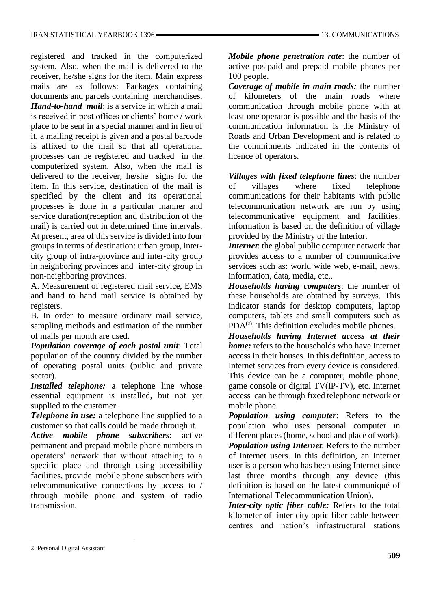registered and tracked in the computerized system. Also, when the mail is delivered to the receiver, he/she signs for the item. Main express mails are as follows: Packages containing documents and parcels containing merchandises. *Hand-to-hand mail*: is a service in which a mail is received in post offices or clients' home / work place to be sent in a special manner and in lieu of it, a mailing receipt is given and a postal barcode is affixed to the mail so that all operational processes can be registered and tracked in the computerized system. Also, when the mail is delivered to the receiver, he/she signs for the item. In this service, destination of the mail is specified by the client and its operational processes is done in a particular manner and service duration(reception and distribution of the mail) is carried out in determined time intervals. At present, area of this service is divided into four groups in terms of destination: urban group, intercity group of intra-province and inter-city group in neighboring provinces and inter-city group in non-neighboring provinces.

A. Measurement of registered mail service, EMS and hand to hand mail service is obtained by registers.

B. In order to measure ordinary mail service, sampling methods and estimation of the number of mails per month are used.

*Population coverage of each postal unit*: Total population of the country divided by the number of operating postal units (public and private sector).

*Installed telephone:* a telephone line whose essential equipment is installed, but not yet supplied to the customer.

*Telephone in use:* a telephone line supplied to a customer so that calls could be made through it.

*Active mobile phone subscribers*: active permanent and prepaid mobile phone numbers in operators' network that without attaching to a specific place and through using accessibility facilities, provide mobile phone subscribers with telecommunicative connections by access to / through mobile phone and system of radio transmission.

*Mobile phone penetration rate*: the number of active postpaid and prepaid mobile phones per 100 people.

*Coverage of mobile in main roads:* the number of kilometers of the main roads where communication through mobile phone with at least one operator is possible and the basis of the communication information is the Ministry of Roads and Urban Development and is related to the commitments indicated in the contents of licence of operators.

*Villages with fixed telephone lines*: the number of villages where fixed telephone communications for their habitants with public telecommunication network are run by using telecommunicative equipment and facilities. Information is based on the definition of village provided by the Ministry of the Interior.

*Internet*: the global public computer network that provides access to a number of communicative services such as: world wide web, e-mail, news, information, data, media, etc,.

*Households having computers*: the number of these households are obtained by surveys. This indicator stands for desktop computers, laptop computers, tablets and small computers such as  $PDA<sup>(2)</sup>$ . This definition excludes mobile phones.

*Households having Internet access at their home:* refers to the households who have Internet access in their houses. In this definition, access to Internet services from every device is considered. This device can be a computer, mobile phone, game console or digital TV(IP-TV), etc. Internet access can be through fixed telephone network or mobile phone.

*Population using computer*: Refers to the population who uses personal computer in different places (home, school and place of work). *Population using Internet*: Refers to the number of Internet users. In this definition, an Internet user is a person who has been using Internet since last three months through any device (this definition is based on the latest communiqué of International Telecommunication Union).

*Inter-city optic fiber cable:* Refers to the total kilometer of inter-city optic fiber cable between centres and nation's infrastructural stations

l

<sup>2.</sup> Personal Digital Assistant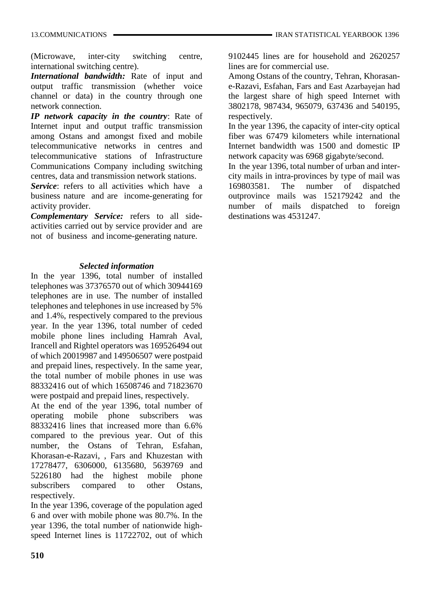(Microwave, inter-city switching centre, international switching centre).

*International bandwidth:* Rate of input and output traffic transmission (whether voice channel or data) in the country through one network connection.

*IP network capacity in the country*: Rate of Internet input and output traffic transmission among Ostans and amongst fixed and mobile telecommunicative networks in centres and telecommunicative stations of Infrastructure Communications Company including switching centres, data and transmission network stations.

*Service*: refers to all activities which have a business nature and are income-generating for activity provider.

*Complementary Service:* refers to all sideactivities carried out by service provider and are not of business and income-generating nature.

#### *Selected information*

In the year 1396, total number of installed telephones was 37376570 out of which 30944169 telephones are in use. The number of installed telephones and telephones in use increased by 5% and 1.4%, respectively compared to the previous year. In the year 1396, total number of ceded mobile phone lines including Hamrah Aval, Irancell and Rightel operators was 169526494 out of which 20019987 and 149506507 were postpaid and prepaid lines, respectively. In the same year, the total number of mobile phones in use was 88332416 out of which 16508746 and 71823670 were postpaid and prepaid lines, respectively.

At the end of the year 1396, total number of operating mobile phone subscribers was 88332416 lines that increased more than 6.6% compared to the previous year. Out of this number, the Ostans of Tehran, Esfahan, Khorasan-e-Razavi, , Fars and Khuzestan with 17278477, 6306000, 6135680, 5639769 and 5226180 had the highest mobile phone subscribers compared to other Ostans, respectively.

In the year 1396, coverage of the population aged 6 and over with mobile phone was 80.7%. In the year 1396, the total number of nationwide highspeed Internet lines is 11722702, out of which 9102445 lines are for household and 2620257 lines are for commercial use.

Among Ostans of the country, Tehran, Khorasane-Razavi, Esfahan, Fars and East Azarbayejan had the largest share of high speed Internet with 3802178, 987434, 965079, 637436 and 540195, respectively.

In the year 1396, the capacity of inter-city optical fiber was 67479 kilometers while international Internet bandwidth was 1500 and domestic IP network capacity was 6968 gigabyte/second.

In the year 1396, total number of urban and intercity mails in intra-provinces by type of mail was 169803581. The number of dispatched outprovince mails was 152179242 and the number of mails dispatched to foreign destinations was 4531247.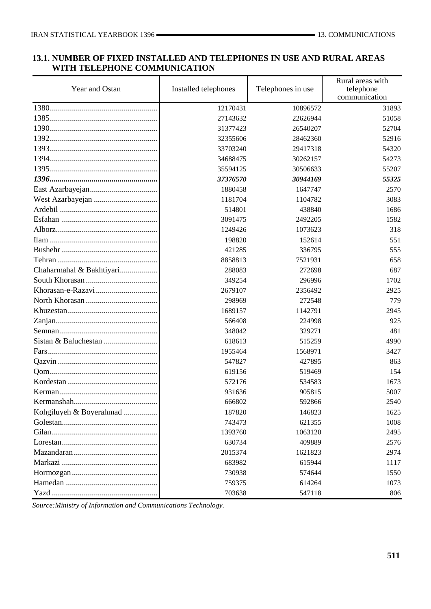#### **13.1. NUMBER OF FIXED INSTALLED AND TELEPHONES IN USE AND RURAL AREAS WITH TELEPHONE COMMUNICATION**

| Year and Ostan                                                                                          | Installed telephones | Telephones in use | Rural areas with<br>telephone<br>communication |
|---------------------------------------------------------------------------------------------------------|----------------------|-------------------|------------------------------------------------|
|                                                                                                         | 12170431             | 10896572          | 31893                                          |
|                                                                                                         | 27143632             | 22626944          | 51058                                          |
|                                                                                                         | 31377423             | 26540207          | 52704                                          |
|                                                                                                         | 32355606             | 28462360          | 52916                                          |
|                                                                                                         | 33703240             | 29417318          | 54320                                          |
|                                                                                                         | 34688475             | 30262157          | 54273                                          |
|                                                                                                         | 35594125             | 30506633          | 55207                                          |
|                                                                                                         | 37376570             | 30944169          | 55325                                          |
|                                                                                                         | 1880458              | 1647747           | 2570                                           |
|                                                                                                         | 1181704              | 1104782           | 3083                                           |
|                                                                                                         | 514801               | 438840            | 1686                                           |
|                                                                                                         | 3091475              | 2492205           | 1582                                           |
|                                                                                                         | 1249426              | 1073623           | 318                                            |
|                                                                                                         | 198820               | 152614            | 551                                            |
|                                                                                                         | 421285               | 336795            | 555                                            |
|                                                                                                         | 8858813              | 7521931           | 658                                            |
| Chaharmahal & Bakhtiyari                                                                                | 288083               | 272698            | 687                                            |
|                                                                                                         | 349254               | 296996            | 1702                                           |
|                                                                                                         | 2679107              | 2356492           | 2925                                           |
|                                                                                                         | 298969               | 272548            | 779                                            |
|                                                                                                         | 1689157              | 1142791           | 2945                                           |
|                                                                                                         | 566408               | 224998            | 925                                            |
|                                                                                                         | 348042               | 329271            | 481                                            |
|                                                                                                         | 618613               | 515259            | 4990                                           |
|                                                                                                         | 1955464              | 1568971           | 3427                                           |
|                                                                                                         | 547827               | 427895            | 863                                            |
|                                                                                                         | 619156               | 519469            | 154                                            |
|                                                                                                         | 572176               | 534583            | 1673                                           |
|                                                                                                         | 931636               | 905815            | 5007                                           |
|                                                                                                         | 666802               | 592866            | 2540                                           |
| Kohgiluyeh & Boyerahmad                                                                                 | 187820               | 146823            | 1625                                           |
|                                                                                                         | 743473               | 621355            | 1008                                           |
|                                                                                                         | 1393760              | 1063120           | 2495                                           |
| $Lores \tan \ldots \ldots \ldots \ldots \ldots \ldots \ldots \ldots \ldots \ldots \ldots \ldots \ldots$ | 630734               | 409889            | 2576                                           |
|                                                                                                         | 2015374              | 1621823           | 2974                                           |
|                                                                                                         | 683982               | 615944            | 1117                                           |
|                                                                                                         | 730938               | 574644            | 1550                                           |
|                                                                                                         | 759375               | 614264            | 1073                                           |
|                                                                                                         | 703638               | 547118            | 806                                            |

*Source:Ministry of Information and Communications Technology.*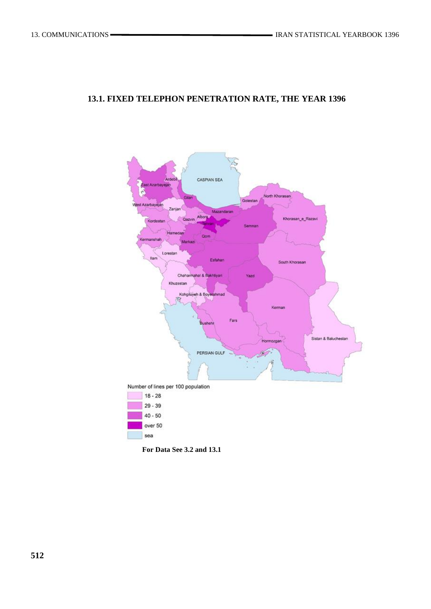## **13.1. FIXED TELEPHON PENETRATION RATE, THE YEAR 1396**



**For Data See 3.2 and 13.1**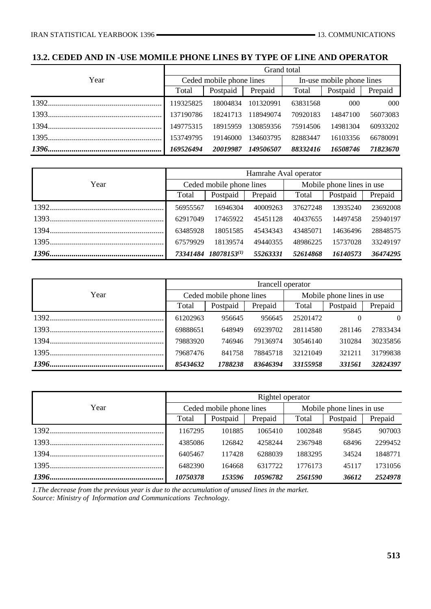## **13.2. CEDED AND IN -USE MOMILE PHONE LINES BY TYPE OF LINE AND OPERATOR**

|      | Grand total                                   |          |           |                           |          |          |  |  |
|------|-----------------------------------------------|----------|-----------|---------------------------|----------|----------|--|--|
| Year | Ceded mobile phone lines                      |          |           | In-use mobile phone lines |          |          |  |  |
|      | Total                                         | Postpaid | Prepaid   | Total                     | Postpaid | Prepaid  |  |  |
|      |                                               | 18004834 | 101320991 | 63831568                  | 000      | -000     |  |  |
|      | 137190786                                     | 18241713 | 118949074 | 70920183                  | 14847100 | 56073083 |  |  |
|      |                                               | 18915959 | 130859356 | 75914506                  | 14981304 | 60933202 |  |  |
|      |                                               | 19146000 | 134603795 | 82883447                  | 16103356 | 66780091 |  |  |
|      | 149506507<br>20019987<br>88332416<br>16508746 |          |           |                           |          |          |  |  |

|      | Hamrahe Aval operator                                                |                          |          |                           |          |          |  |  |
|------|----------------------------------------------------------------------|--------------------------|----------|---------------------------|----------|----------|--|--|
| Year |                                                                      | Ceded mobile phone lines |          | Mobile phone lines in use |          |          |  |  |
|      | Total                                                                | Postpaid                 | Prepaid  | Total                     | Postpaid | Prepaid  |  |  |
|      | 56955567                                                             | 16946304                 | 40009263 | 37627248                  | 13935240 | 23692008 |  |  |
|      | 62917049                                                             | 17465922                 | 45451128 | 40437655                  | 14497458 | 25940197 |  |  |
|      | 63485928                                                             | 18051585                 | 45434343 | 43485071                  | 14636496 | 28848575 |  |  |
|      | 67579929                                                             | 18139574                 | 49440355 | 48986225                  | 15737028 | 33249197 |  |  |
|      | 73341484 18078153(1)<br>36474295<br>55263331<br>52614868<br>16140573 |                          |          |                           |          |          |  |  |

|      | Irancell operator |                          |          |                           |          |          |  |  |
|------|-------------------|--------------------------|----------|---------------------------|----------|----------|--|--|
| Year |                   | Ceded mobile phone lines |          | Mobile phone lines in use |          |          |  |  |
|      | Total             | Postpaid                 | Prepaid  | Total                     | Postpaid | Prepaid  |  |  |
|      | 61202963          | 956645                   | 956645   | 25201472                  | $\theta$ | $\Omega$ |  |  |
|      | 69888651          | 648949                   | 69239702 | 28114580                  | 281146   | 27833434 |  |  |
|      | 79883920          | 746946                   | 79136974 | 30546140                  | 310284   | 30235856 |  |  |
|      | 79687476          | 841758                   | 78845718 | 32121049                  | 321211   | 31799838 |  |  |
|      | 85434632          | 1788238                  | 83646394 | 33155958                  | 331561   | 32824397 |  |  |

|      | Rightel operator |                          |          |                           |          |         |  |  |
|------|------------------|--------------------------|----------|---------------------------|----------|---------|--|--|
| Year |                  | Ceded mobile phone lines |          | Mobile phone lines in use |          |         |  |  |
|      | Total            | Postpaid                 | Prepaid  | Total                     | Postpaid | Prepaid |  |  |
|      | 1167295          | 101885                   | 1065410  | 1002848                   | 95845    | 907003  |  |  |
|      | 4385086          | 126842                   | 4258244  | 2367948                   | 68496    | 2299452 |  |  |
|      | 6405467          | 117428                   | 6288039  | 1883295                   | 34524    | 1848771 |  |  |
|      | 6482390          | 164668                   | 6317722  | 1776173                   | 45117    | 1731056 |  |  |
|      | 10750378         | 153596                   | 10596782 | 2561590                   | 36612    | 2524978 |  |  |

*1.The decrease from the previous year is due to the accumulation of unused lines in the market. Source: Ministry of Information and Communications Technology.*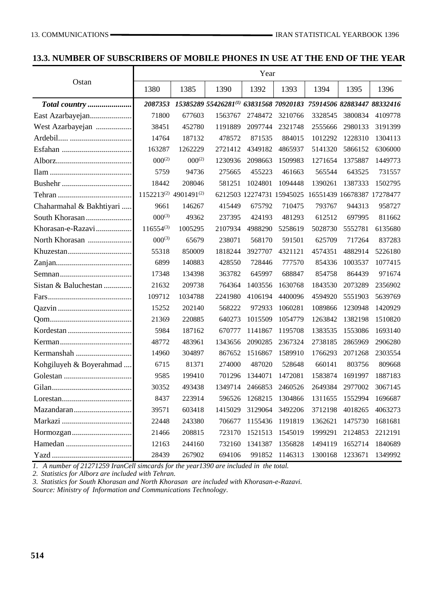### **13.3. NUMBER OF SUBSCRIBERS OF MOBILE PHONES IN USE AT THE END OF THE YEAR**

|                          | Year                                          |             |                                                                   |                           |         |         |                            |         |
|--------------------------|-----------------------------------------------|-------------|-------------------------------------------------------------------|---------------------------|---------|---------|----------------------------|---------|
| Ostan                    | 1380                                          | 1385        | 1390                                                              | 1392                      | 1393    | 1394    | 1395                       | 1396    |
|                          | 2087353                                       |             | 15385289 55426281(1) 63831568 70920183 75914506 82883447 88332416 |                           |         |         |                            |         |
|                          | 71800                                         | 677603      | 1563767                                                           | 2748472                   | 3210766 | 3328545 | 3800834                    | 4109778 |
| West Azarbayejan         | 38451                                         | 452780      | 1191889                                                           | 2097744                   | 2321748 | 2555666 | 2980133                    | 3191399 |
|                          | 14764                                         | 187132      | 478572                                                            | 871535                    | 884015  | 1012292 | 1228310                    | 1304113 |
|                          | 163287                                        | 1262229     | 2721412                                                           | 4349182                   | 4865937 | 5141320 | 5866152                    | 6306000 |
|                          | $000^{(2)}$                                   | $000^{(2)}$ | 1230936                                                           | 2098663                   | 1509983 | 1271654 | 1375887                    | 1449773 |
|                          | 5759                                          | 94736       | 275665                                                            | 455223                    | 461663  | 565544  | 643525                     | 731557  |
|                          | 18442                                         | 208046      | 581251                                                            | 1024801                   | 1094448 | 1390261 | 1387333                    | 1502795 |
|                          | 1152213 <sup>(2)</sup> 4901491 <sup>(2)</sup> |             |                                                                   | 6212503 12274731 15945025 |         |         | 16551439 16678387 17278477 |         |
| Chaharmahal & Bakhtiyari | 9661                                          | 146267      | 415449                                                            | 675792                    | 710475  | 793767  | 944313                     | 958727  |
| South Khorasan           | $000^{(3)}$                                   | 49362       | 237395                                                            | 424193                    | 481293  | 612512  | 697995                     | 811662  |
| Khorasan-e-Razavi        | $116554^{(3)}$                                | 1005295     | 2107934                                                           | 4988290                   | 5258619 | 5028730 | 5552781                    | 6135680 |
| North Khorasan           | $000^{(3)}$                                   | 65679       | 238071                                                            | 568170                    | 591501  | 625709  | 717264                     | 837283  |
|                          | 55318                                         | 850009      | 1818244                                                           | 3927707                   | 4321121 | 4574351 | 4882914                    | 5226180 |
|                          | 6899                                          | 140883      | 428550                                                            | 728446                    | 777570  | 854336  | 1003537                    | 1077415 |
|                          | 17348                                         | 134398      | 363782                                                            | 645997                    | 688847  | 854758  | 864439                     | 971674  |
| Sistan & Baluchestan     | 21632                                         | 209738      | 764364                                                            | 1403556                   | 1630768 | 1843530 | 2073289                    | 2356902 |
|                          | 109712                                        | 1034788     | 2241980                                                           | 4106194                   | 4400096 | 4594920 | 5551903                    | 5639769 |
|                          | 15252                                         | 202140      | 568222                                                            | 972933                    | 1060281 | 1089866 | 1230948                    | 1420929 |
|                          | 21369                                         | 220885      | 640273                                                            | 1015509                   | 1054779 | 1263842 | 1382198                    | 1510820 |
|                          | 5984                                          | 187162      | 670777                                                            | 1141867                   | 1195708 | 1383535 | 1553086                    | 1693140 |
|                          | 48772                                         | 483961      | 1343656                                                           | 2090285                   | 2367324 | 2738185 | 2865969                    | 2906280 |
|                          | 14960                                         | 304897      | 867652                                                            | 1516867                   | 1589910 | 1766293 | 2071268                    | 2303554 |
| Kohgiluyeh & Boyerahmad  | 6715                                          | 81371       | 274000                                                            | 487020                    | 528648  | 660141  | 803756                     | 809668  |
|                          | 9585                                          | 199410      | 701296                                                            | 1344071                   | 1472081 | 1583874 | 1691997                    | 1887183 |
|                          | 30352                                         | 493438      | 1349714                                                           | 2466853                   | 2460526 | 2649384 | 2977002                    | 3067145 |
|                          | 8437                                          | 223914      | 596526                                                            | 1268215                   | 1304866 | 1311655 | 1552994                    | 1696687 |
|                          | 39571                                         | 603418      | 1415029                                                           | 3129064                   | 3492206 | 3712198 | 4018265                    | 4063273 |
|                          | 22448                                         | 243380      | 706677                                                            | 1155436                   | 1191819 | 1362621 | 1475730                    | 1681681 |
|                          | 21466                                         | 208815      | 723170                                                            | 1521513                   | 1545019 | 1999291 | 2124853                    | 2212191 |
|                          | 12163                                         | 244160      | 732160                                                            | 1341387                   | 1356828 | 1494119 | 1652714                    | 1840689 |
|                          | 28439                                         | 267902      | 694106                                                            | 991852                    | 1146313 | 1300168 | 1233671                    | 1349992 |

*1. A number of 21271259 IranCell simcards for the year1390 are included in the total.* 

*2. Statistics for Alborz are included with Tehran.*

*3. Statistics for South Khorasan and North Khorasan are included with Khorasan-e-Razavi.*

*Source: Ministry of Information and Communications Technology.*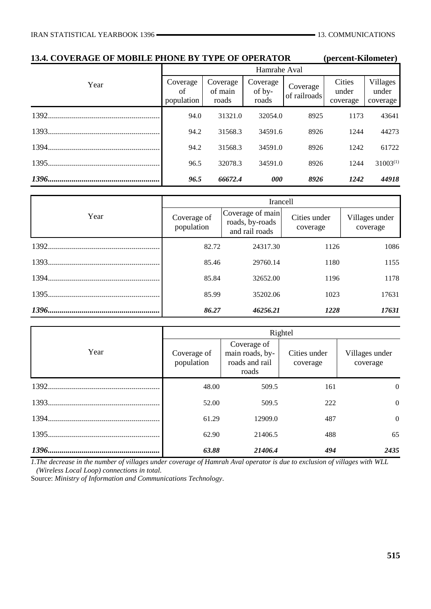| <b>13.4. COVERAGE OF MOBILE PHONE BY TYPE OF OPERATOR</b> |                                         |                              |                             |                          | (percent-Kilometer)         |                                      |  |  |  |  |
|-----------------------------------------------------------|-----------------------------------------|------------------------------|-----------------------------|--------------------------|-----------------------------|--------------------------------------|--|--|--|--|
|                                                           |                                         | Hamrahe Aval                 |                             |                          |                             |                                      |  |  |  |  |
| Year                                                      | Coverage<br><sub>of</sub><br>population | Coverage<br>of main<br>roads | Coverage<br>of by-<br>roads | Coverage<br>of railroads | Cities<br>under<br>coverage | <b>Villages</b><br>under<br>coverage |  |  |  |  |
|                                                           | 94.0                                    | 31321.0                      | 32054.0                     | 8925                     | 1173                        | 43641                                |  |  |  |  |
|                                                           | 94.2                                    | 31568.3                      | 34591.6                     | 8926                     | 1244                        | 44273                                |  |  |  |  |
|                                                           | 94.2                                    | 31568.3                      | 34591.0                     | 8926                     | 1242                        | 61722                                |  |  |  |  |
|                                                           | 96.5                                    | 32078.3                      | 34591.0                     | 8926                     | 1244                        | $31003^{(1)}$                        |  |  |  |  |
|                                                           | 96.5                                    | 66672.4                      | 000                         | 8926                     | 1242                        | 44918                                |  |  |  |  |

|      |                           | Irancell                                              |                          |                            |
|------|---------------------------|-------------------------------------------------------|--------------------------|----------------------------|
| Year | Coverage of<br>population | Coverage of main<br>roads, by-roads<br>and rail roads | Cities under<br>coverage | Villages under<br>coverage |
|      | 82.72                     | 24317.30                                              | 1126                     | 1086                       |
|      | 85.46                     | 29760.14                                              | 1180                     | 1155                       |
|      | 85.84                     | 32652.00                                              | 1196                     | 1178                       |
|      | 85.99                     | 35202.06                                              | 1023                     | 17631                      |
|      | 86.27                     | 46256.21                                              | 1228                     | 17631                      |

|      |                           |                                                           | Rightel                  |                            |
|------|---------------------------|-----------------------------------------------------------|--------------------------|----------------------------|
| Year | Coverage of<br>population | Coverage of<br>main roads, by-<br>roads and rail<br>roads | Cities under<br>coverage | Villages under<br>coverage |
|      | 48.00                     | 509.5                                                     | 161                      | $\theta$                   |
|      | 52.00                     | 509.5                                                     | 222                      | $\theta$                   |
|      | 61.29                     | 12909.0                                                   | 487                      | $\theta$                   |
|      | 62.90                     | 21406.5                                                   | 488                      | 65                         |
|      | 63.88                     | 21406.4                                                   | 494                      | 2435                       |

*1.The decrease in the number of villages under coverage of Hamrah Aval operator is due to exclusion of villages with WLL (Wireless Local Loop) connections in total.*

Source: *Ministry of Information and Communications Technology.*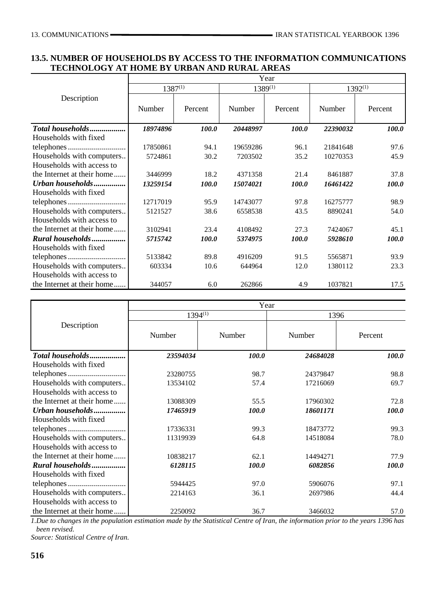#### **13.5. NUMBER OF HOUSEHOLDS BY ACCESS TO THE INFORMATION COMMUNICATIONS TECHNOLOGY AT HOME BY URBAN AND RURAL AREAS**

|                            | Year         |              |          |              |          |              |  |  |
|----------------------------|--------------|--------------|----------|--------------|----------|--------------|--|--|
|                            | $1387^{(1)}$ |              | 1389(1)  |              |          | $1392^{(1)}$ |  |  |
| Description                | Number       | Percent      | Number   | Percent      | Number   | Percent      |  |  |
| Total households           | 18974896     | <i>100.0</i> | 20448997 | <i>100.0</i> | 22390032 | <i>100.0</i> |  |  |
| Households with fixed      |              |              |          |              |          |              |  |  |
|                            | 17850861     | 94.1         | 19659286 | 96.1         | 21841648 | 97.6         |  |  |
| Households with computers  | 5724861      | 30.2         | 7203502  | 35.2         | 10270353 | 45.9         |  |  |
| Households with access to  |              |              |          |              |          |              |  |  |
| the Internet at their home | 3446999      | 18.2         | 4371358  | 21.4         | 8461887  | 37.8         |  |  |
| Urban households           | 13259154     | 100.0        | 15074021 | 100.0        | 16461422 | 100.0        |  |  |
| Households with fixed      |              |              |          |              |          |              |  |  |
|                            | 12717019     | 95.9         | 14743077 | 97.8         | 16275777 | 98.9         |  |  |
| Households with computers  | 5121527      | 38.6         | 6558538  | 43.5         | 8890241  | 54.0         |  |  |
| Households with access to  |              |              |          |              |          |              |  |  |
| the Internet at their home | 3102941      | 23.4         | 4108492  | 27.3         | 7424067  | 45.1         |  |  |
| Rural households           | 5715742      | 100.0        | 5374975  | 100.0        | 5928610  | <i>100.0</i> |  |  |
| Households with fixed      |              |              |          |              |          |              |  |  |
|                            | 5133842      | 89.8         | 4916209  | 91.5         | 5565871  | 93.9         |  |  |
| Households with computers  | 603334       | 10.6         | 644964   | 12.0         | 1380112  | 23.3         |  |  |
| Households with access to  |              |              |          |              |          |              |  |  |
| the Internet at their home | 344057       | 6.0          | 262866   | 4.9          | 1037821  | 17.5         |  |  |

|                            |              |              | Year     |              |  |  |
|----------------------------|--------------|--------------|----------|--------------|--|--|
|                            | $1394^{(1)}$ |              | 1396     |              |  |  |
| Description                | Number       | Number       | Number   | Percent      |  |  |
| Total households           | 23594034     | 100.0        | 24684028 | <i>100.0</i> |  |  |
| Households with fixed      |              |              |          |              |  |  |
|                            | 23280755     | 98.7         | 24379847 | 98.8         |  |  |
| Households with computers  | 13534102     | 57.4         | 17216069 | 69.7         |  |  |
| Households with access to  |              |              |          |              |  |  |
| the Internet at their home | 13088309     | 55.5         | 17960302 | 72.8         |  |  |
| Urban households           | 17465919     | 100.0        | 18601171 | <b>100.0</b> |  |  |
| Households with fixed      |              |              |          |              |  |  |
|                            | 17336331     | 99.3         | 18473772 | 99.3         |  |  |
| Households with computers  | 11319939     | 64.8         | 14518084 | 78.0         |  |  |
| Households with access to  |              |              |          |              |  |  |
| the Internet at their home | 10838217     | 62.1         | 14494271 | 77.9         |  |  |
| Rural households           | 6128115      | <i>100.0</i> | 6082856  | <b>100.0</b> |  |  |
| Households with fixed      |              |              |          |              |  |  |
|                            | 5944425      | 97.0         | 5906076  | 97.1         |  |  |
| Households with computers  | 2214163      | 36.1         | 2697986  | 44.4         |  |  |
| Households with access to  |              |              |          |              |  |  |
| the Internet at their home | 2250092      | 36.7         | 3466032  | 57.0         |  |  |

*1.Due to changes in the population estimation made by the Statistical Centre of Iran, the information prior to the years 1396 has been revised.*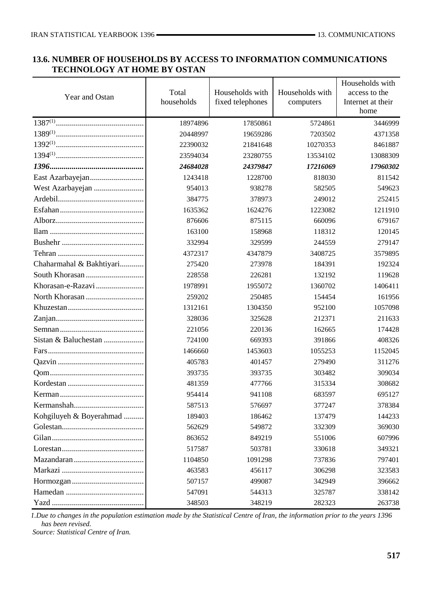### **13.6. NUMBER OF HOUSEHOLDS BY ACCESS TO INFORMATION COMMUNICATIONS TECHNOLOGY AT HOME BY OSTAN**

| Year and Ostan           | Total<br>households | Households with<br>fixed telephones | Households with<br>computers | Households with<br>access to the<br>Internet at their<br>home |
|--------------------------|---------------------|-------------------------------------|------------------------------|---------------------------------------------------------------|
|                          | 18974896            | 17850861                            | 5724861                      | 3446999                                                       |
|                          | 20448997            | 19659286                            | 7203502                      | 4371358                                                       |
|                          | 22390032            | 21841648                            | 10270353                     | 8461887                                                       |
|                          | 23594034            | 23280755                            | 13534102                     | 13088309                                                      |
|                          | 24684028            | 24379847                            | 17216069                     | 17960302                                                      |
|                          | 1243418             | 1228700                             | 818030                       | 811542                                                        |
|                          | 954013              | 938278                              | 582505                       | 549623                                                        |
|                          | 384775              | 378973                              | 249012                       | 252415                                                        |
|                          | 1635362             | 1624276                             | 1223082                      | 1211910                                                       |
|                          | 876606              | 875115                              | 660096                       | 679167                                                        |
|                          | 163100              | 158968                              | 118312                       | 120145                                                        |
|                          | 332994              | 329599                              | 244559                       | 279147                                                        |
|                          | 4372317             | 4347879                             | 3408725                      | 3579895                                                       |
| Chaharmahal & Bakhtiyari | 275420              | 273978                              | 184391                       | 192324                                                        |
|                          | 228558              | 226281                              | 132192                       | 119628                                                        |
|                          | 1978991             | 1955072                             | 1360702                      | 1406411                                                       |
|                          | 259202              | 250485                              | 154454                       | 161956                                                        |
|                          | 1312161             | 1304350                             | 952100                       | 1057098                                                       |
|                          | 328036              | 325628                              | 212371                       | 211633                                                        |
|                          | 221056              | 220136                              | 162665                       | 174428                                                        |
|                          | 724100              | 669393                              | 391866                       | 408326                                                        |
|                          | 1466660             | 1453603                             | 1055253                      | 1152045                                                       |
|                          | 405783              | 401457                              | 279490                       | 311276                                                        |
|                          | 393735              | 393735                              | 303482                       | 309034                                                        |
|                          | 481359              | 477766                              | 315334                       | 308682                                                        |
|                          | 954414              | 941108                              | 683597                       | 695127                                                        |
|                          | 587513              | 576697                              | 377247                       | 378384                                                        |
| Kohgiluyeh & Boyerahmad  | 189403              | 186462                              | 137479                       | 144233                                                        |
|                          | 562629              | 549872                              | 332309                       | 369030                                                        |
|                          | 863652              | 849219                              | 551006                       | 607996                                                        |
|                          | 517587              | 503781                              | 330618                       | 349321                                                        |
|                          | 1104850             | 1091298                             | 737836                       | 797401                                                        |
|                          | 463583              | 456117                              | 306298                       | 323583                                                        |
|                          | 507157              | 499087                              | 342949                       | 396662                                                        |
|                          | 547091              | 544313                              | 325787                       | 338142                                                        |
|                          | 348503              | 348219                              | 282323                       | 263738                                                        |

*1.Due to changes in the population estimation made by the Statistical Centre of Iran, the information prior to the years 1396 has been revised.*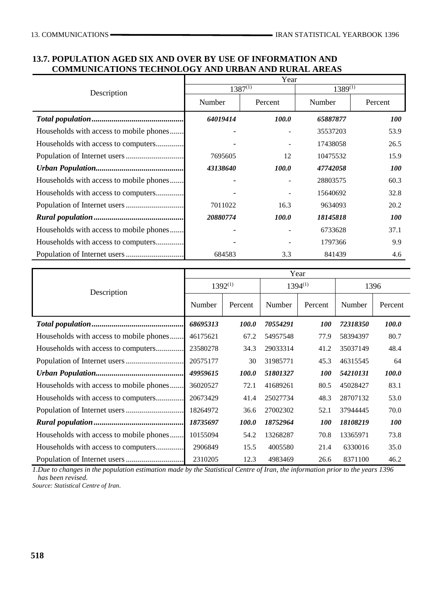#### **13.7. POPULATION AGED SIX AND OVER BY USE OF INFORMATION AND COMMUNICATIONS TECHNOLOGY AND URBAN AND RURAL AREAS**

|                                         | Year         |              |              |            |  |  |  |
|-----------------------------------------|--------------|--------------|--------------|------------|--|--|--|
| Description                             | $1387^{(1)}$ |              | $1389^{(1)}$ |            |  |  |  |
|                                         | Number       | Percent      | Number       | Percent    |  |  |  |
|                                         | 64019414     | <i>100.0</i> | 65887877     | <i>100</i> |  |  |  |
| Households with access to mobile phones |              |              | 35537203     | 53.9       |  |  |  |
| Households with access to computers     |              |              | 17438058     | 26.5       |  |  |  |
|                                         | 7695605      | 12           | 10475532     | 15.9       |  |  |  |
|                                         | 43138640     | <i>100.0</i> | 47742058     | <i>100</i> |  |  |  |
| Households with access to mobile phones |              |              | 28803575     | 60.3       |  |  |  |
| Households with access to computers     |              |              | 15640692     | 32.8       |  |  |  |
|                                         | 7011022      | 16.3         | 9634093      | 20.2       |  |  |  |
|                                         | 20880774     | <b>100.0</b> | 18145818     | <i>100</i> |  |  |  |
| Households with access to mobile phones |              |              | 6733628      | 37.1       |  |  |  |
| Households with access to computers     |              |              | 1797366      | 9.9        |  |  |  |
|                                         | 684583       | 3.3          | 841439       | 4.6        |  |  |  |

|                                         | Year         |         |              |                   |          |              |  |  |  |
|-----------------------------------------|--------------|---------|--------------|-------------------|----------|--------------|--|--|--|
| Description                             | $1392^{(1)}$ |         | $1394^{(1)}$ |                   | 1396     |              |  |  |  |
|                                         | Number       | Percent | Number       | Percent           | Number   | Percent      |  |  |  |
|                                         | 68695313     | 100.0   | 70554291     | <i><b>100</b></i> | 72318350 | 100.0        |  |  |  |
| Households with access to mobile phones | 46175621     | 67.2    | 54957548     | 77.9              | 58394397 | 80.7         |  |  |  |
| Households with access to computers     | 23580278     | 34.3    | 29033314     | 41.2              | 35037149 | 48.4         |  |  |  |
|                                         | 20575177     | 30      | 31985771     | 45.3              | 46315545 | 64           |  |  |  |
|                                         | 49959615     | 100.0   | 51801327     | <i>100</i>        | 54210131 | <i>100.0</i> |  |  |  |
| Households with access to mobile phones | 36020527     | 72.1    | 41689261     | 80.5              | 45028427 | 83.1         |  |  |  |
| Households with access to computers     | 20673429     | 41.4    | 25027734     | 48.3              | 28707132 | 53.0         |  |  |  |
|                                         | 18264972     | 36.6    | 27002302     | 52.1              | 37944445 | 70.0         |  |  |  |
|                                         | 18735697     | 100.0   | 18752964     | <i>100</i>        | 18108219 | <i>100</i>   |  |  |  |
| Households with access to mobile phones | 10155094     | 54.2    | 13268287     | 70.8              | 13365971 | 73.8         |  |  |  |
| Households with access to computers     | 2906849      | 15.5    | 4005580      | 21.4              | 6330016  | 35.0         |  |  |  |
|                                         | 2310205      | 12.3    | 4983469      | 26.6              | 8371100  | 46.2         |  |  |  |

*1.Due to changes in the population estimation made by the Statistical Centre of Iran, the information prior to the years 1396 has been revised.*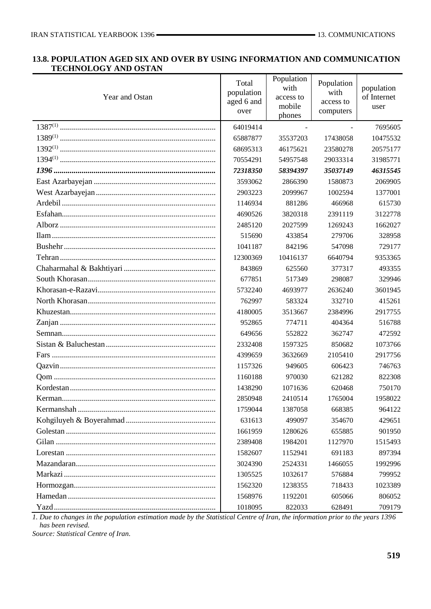#### **13.8. POPULATION AGED SIX AND OVER BY USING INFORMATION AND COMMUNICATION TECHNOLOGY AND OSTAN**

| Year and Ostan | Total<br>population<br>aged 6 and<br>over | Population<br>with<br>access to<br>mobile<br>phones | Population<br>with<br>access to<br>computers | population<br>of Internet<br>user |
|----------------|-------------------------------------------|-----------------------------------------------------|----------------------------------------------|-----------------------------------|
|                | 64019414                                  | $\blacksquare$                                      | $\blacksquare$                               | 7695605                           |
|                | 65887877                                  | 35537203                                            | 17438058                                     | 10475532                          |
|                | 68695313                                  | 46175621                                            | 23580278                                     | 20575177                          |
|                | 70554291                                  | 54957548                                            | 29033314                                     | 31985771                          |
|                | 72318350                                  | 58394397                                            | 35037149                                     | 46315545                          |
|                | 3593062                                   | 2866390                                             | 1580873                                      | 2069905                           |
|                | 2903223                                   | 2099967                                             | 1002594                                      | 1377001                           |
|                | 1146934                                   | 881286                                              | 466968                                       | 615730                            |
|                | 4690526                                   | 3820318                                             | 2391119                                      | 3122778                           |
|                | 2485120                                   | 2027599                                             | 1269243                                      | 1662027                           |
|                | 515690                                    | 433854                                              | 279706                                       | 328958                            |
|                | 1041187                                   | 842196                                              | 547098                                       | 729177                            |
|                | 12300369                                  | 10416137                                            | 6640794                                      | 9353365                           |
|                | 843869                                    | 625560                                              | 377317                                       | 493355                            |
|                | 677851                                    | 517349                                              | 298087                                       | 329946                            |
|                | 5732240                                   | 4693977                                             | 2636240                                      | 3601945                           |
|                | 762997                                    | 583324                                              | 332710                                       | 415261                            |
|                | 4180005                                   | 3513667                                             | 2384996                                      | 2917755                           |
|                | 952865                                    | 774711                                              | 404364                                       | 516788                            |
|                | 649656                                    | 552822                                              | 362747                                       | 472592                            |
|                | 2332408                                   | 1597325                                             | 850682                                       | 1073766                           |
|                | 4399659                                   | 3632669                                             | 2105410                                      | 2917756                           |
|                | 1157326                                   | 949605                                              | 606423                                       | 746763                            |
|                | 1160188                                   | 970030                                              | 621282                                       | 822308                            |
|                | 1438290                                   | 1071636                                             | 620468                                       | 750170                            |
|                | 2850948                                   | 2410514                                             | 1765004                                      | 1958022                           |
|                | 1759044                                   | 1387058                                             | 668385                                       | 964122                            |
|                | 631613                                    | 499097                                              | 354670                                       | 429651                            |
|                | 1661959                                   | 1280626                                             | 655885                                       | 901950                            |
|                | 2389408                                   | 1984201                                             | 1127970                                      | 1515493                           |
|                | 1582607                                   | 1152941                                             | 691183                                       | 897394                            |
|                | 3024390                                   | 2524331                                             | 1466055                                      | 1992996                           |
|                | 1305525                                   | 1032617                                             | 576884                                       | 799952                            |
|                | 1562320                                   | 1238355                                             | 718433                                       | 1023389                           |
|                | 1568976                                   | 1192201                                             | 605066                                       | 806052                            |
|                | 1018095                                   | 822033                                              | 628491                                       | 709179                            |

*1. Due to changes in the population estimation made by the Statistical Centre of Iran, the information prior to the years 1396 has been revised.*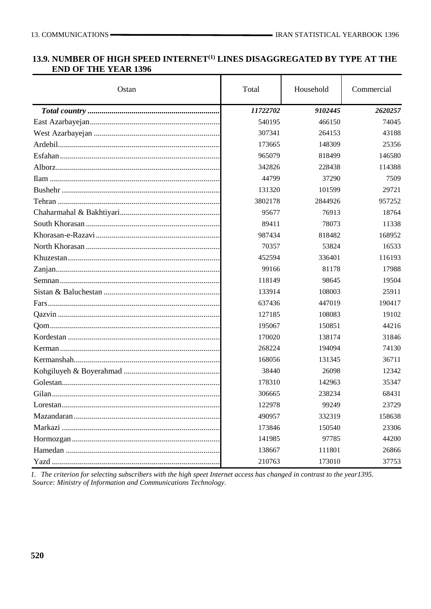## **13.9. NUMBER OF HIGH SPEED INTERNET(1) LINES DISAGGREGATED BY TYPE AT THE END OF THE YEAR 1396**

| Ostan | Total    | Household | Commercial |
|-------|----------|-----------|------------|
|       | 11722702 | 9102445   | 2620257    |
|       | 540195   | 466150    | 74045      |
|       | 307341   | 264153    | 43188      |
|       | 173665   | 148309    | 25356      |
|       | 965079   | 818499    | 146580     |
|       | 342826   | 228438    | 114388     |
|       | 44799    | 37290     | 7509       |
|       | 131320   | 101599    | 29721      |
|       | 3802178  | 2844926   | 957252     |
|       | 95677    | 76913     | 18764      |
|       | 89411    | 78073     | 11338      |
|       | 987434   | 818482    | 168952     |
|       | 70357    | 53824     | 16533      |
|       | 452594   | 336401    | 116193     |
|       | 99166    | 81178     | 17988      |
|       | 118149   | 98645     | 19504      |
|       | 133914   | 108003    | 25911      |
|       | 637436   | 447019    | 190417     |
|       | 127185   | 108083    | 19102      |
|       | 195067   | 150851    | 44216      |
|       | 170020   | 138174    | 31846      |
|       | 268224   | 194094    | 74130      |
|       | 168056   | 131345    | 36711      |
|       | 38440    | 26098     | 12342      |
|       | 178310   | 142963    | 35347      |
|       | 306665   | 238234    | 68431      |
|       | 122978   | 99249     | 23729      |
|       | 490957   | 332319    | 158638     |
|       | 173846   | 150540    | 23306      |
|       | 141985   | 97785     | 44200      |
|       | 138667   | 111801    | 26866      |
|       | 210763   | 173010    | 37753      |

*1. The criterion for selecting subscribers with the high speet Internet access has changed in contrast to the year1395. Source: Ministry of Information and Communications Technology.*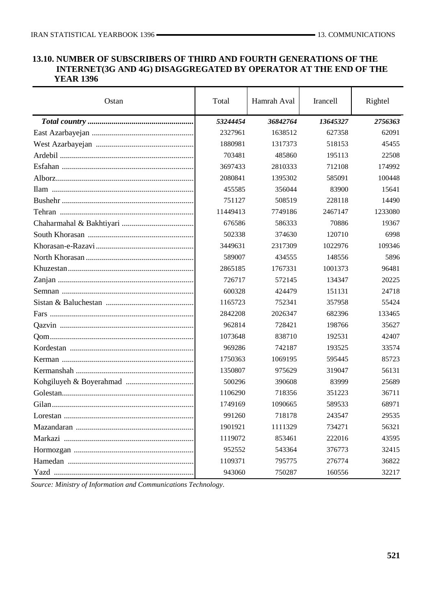#### **13.10. NUMBER OF SUBSCRIBERS OF THIRD AND FOURTH GENERATIONS OF THE INTERNET(3G AND 4G) DISAGGREGATED BY OPERATOR AT THE END OF THE YEAR 1396**

| Ostan | Total    | Hamrah Aval | Irancell | Rightel |
|-------|----------|-------------|----------|---------|
|       | 53244454 | 36842764    | 13645327 | 2756363 |
|       | 2327961  | 1638512     | 627358   | 62091   |
|       | 1880981  | 1317373     | 518153   | 45455   |
|       | 703481   | 485860      | 195113   | 22508   |
|       | 3697433  | 2810333     | 712108   | 174992  |
|       | 2080841  | 1395302     | 585091   | 100448  |
|       | 455585   | 356044      | 83900    | 15641   |
|       | 751127   | 508519      | 228118   | 14490   |
|       | 11449413 | 7749186     | 2467147  | 1233080 |
|       | 676586   | 586333      | 70886    | 19367   |
|       | 502338   | 374630      | 120710   | 6998    |
|       | 3449631  | 2317309     | 1022976  | 109346  |
|       | 589007   | 434555      | 148556   | 5896    |
|       | 2865185  | 1767331     | 1001373  | 96481   |
|       | 726717   | 572145      | 134347   | 20225   |
|       | 600328   | 424479      | 151131   | 24718   |
|       | 1165723  | 752341      | 357958   | 55424   |
|       | 2842208  | 2026347     | 682396   | 133465  |
|       | 962814   | 728421      | 198766   | 35627   |
|       | 1073648  | 838710      | 192531   | 42407   |
|       | 969286   | 742187      | 193525   | 33574   |
|       | 1750363  | 1069195     | 595445   | 85723   |
|       | 1350807  | 975629      | 319047   | 56131   |
|       | 500296   | 390608      | 83999    | 25689   |
|       | 1106290  | 718356      | 351223   | 36711   |
|       | 1749169  | 1090665     | 589533   | 68971   |
|       | 991260   | 718178      | 243547   | 29535   |
|       | 1901921  | 1111329     | 734271   | 56321   |
|       | 1119072  | 853461      | 222016   | 43595   |
|       | 952552   | 543364      | 376773   | 32415   |
|       | 1109371  | 795775      | 276774   | 36822   |
|       | 943060   | 750287      | 160556   | 32217   |

*Source: Ministry of Information and Communications Technology.*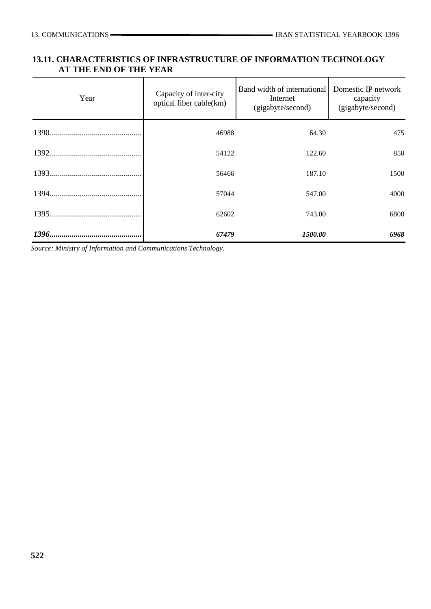### **13.11. CHARACTERISTICS OF INFRASTRUCTURE OF INFORMATION TECHNOLOGY AT THE END OF THE YEAR**

| Year | Capacity of inter-city<br>optical fiber cable(km) | Band width of international<br>Internet<br>(gigabyte/second) | Domestic IP network<br>capacity<br>(gigabyte/second) |
|------|---------------------------------------------------|--------------------------------------------------------------|------------------------------------------------------|
|      | 46988                                             | 64.30                                                        | 475                                                  |
|      | 54122                                             | 122.60                                                       | 850                                                  |
|      | 56466                                             | 187.10                                                       | 1500                                                 |
|      | 57044                                             | 547.00                                                       | 4000                                                 |
|      | 62602                                             | 743.00                                                       | 6800                                                 |
|      | 67479                                             | 1500.00                                                      | 6968                                                 |

*Source: Ministry of Information and Communications Technology.*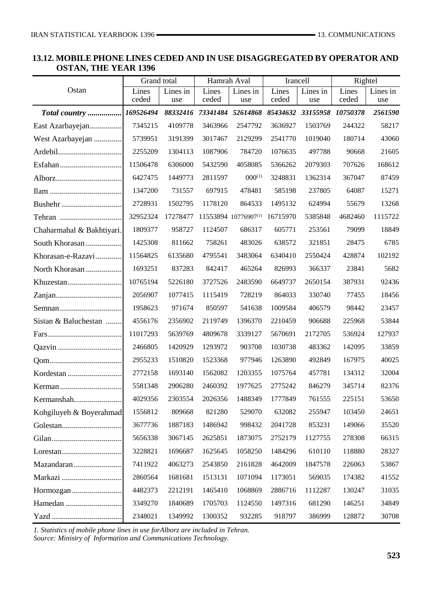#### **13.12. MOBILE PHONE LINES CEDED AND IN USE DISAGGREGATED BY OPERATOR AND OSTAN, THE YEAR 1396**

|                           | Grand total    |                 | Hamrah Aval    |                            | Irancell       |                   | Rightel        |                 |
|---------------------------|----------------|-----------------|----------------|----------------------------|----------------|-------------------|----------------|-----------------|
| Ostan                     | Lines<br>ceded | Lines in<br>use | Lines<br>ceded | Lines in<br>use            | Lines<br>ceded | Lines in<br>use   | Lines<br>ceded | Lines in<br>use |
|                           | 169526494      |                 |                | 88332416 73341484 52614868 | 85434632       | 33155958 10750378 |                | 2561590         |
| Total country             | 7345215        | 4109778         | 3463966        | 2547792                    | 3636927        | 1503769           | 244322         | 58217           |
| East Azarbayejan          | 5739951        | 3191399         |                | 2129299                    |                | 1019040           |                | 43060           |
| West Azarbayejan          |                |                 | 3017467        |                            | 2541770        |                   | 180714         |                 |
|                           | 2255209        | 1304113         | 1087906        | 784720                     | 1076635        | 497788            | 90668          | 21605           |
|                           | 11506478       | 6306000         | 5432590        | 4058085                    | 5366262        | 2079303           | 707626         | 168612          |
|                           | 6427475        | 1449773         | 2811597        | $000^{(1)}$                | 3248831        | 1362314           | 367047         | 87459           |
|                           | 1347200        | 731557          | 697915         | 478481                     | 585198         | 237805            | 64087          | 15271           |
|                           | 2728931        | 1502795         | 1178120        | 864533                     | 1495132        | 624994            | 55679          | 13268           |
|                           | 32952324       | 17278477        |                | 11553894 10776907(1)       | 16715970       | 5385848           | 4682460        | 1115722         |
| Chaharmahal & Bakhtiyari. | 1809377        | 958727          | 1124507        | 686317                     | 605771         | 253561            | 79099          | 18849           |
| South Khorasan            | 1425308        | 811662          | 758261         | 483026                     | 638572         | 321851            | 28475          | 6785            |
| Khorasan-e-Razavi         | 11564825       | 6135680         | 4795541        | 3483064                    | 6340410        | 2550424           | 428874         | 102192          |
| North Khorasan            | 1693251        | 837283          | 842417         | 465264                     | 826993         | 366337            | 23841          | 5682            |
|                           | 10765194       | 5226180         | 3727526        | 2483590                    | 6649737        | 2650154           | 387931         | 92436           |
|                           | 2056907        | 1077415         | 1115419        | 728219                     | 864033         | 330740            | 77455          | 18456           |
|                           | 1958623        | 971674          | 850597         | 541638                     | 1009584        | 406579            | 98442          | 23457           |
| Sistan & Baluchestan      | 4556176        | 2356902         | 2119749        | 1396370                    | 2210459        | 906688            | 225968         | 53844           |
|                           | 11017293       | 5639769         | 4809678        | 3339127                    | 5670691        | 2172705           | 536924         | 127937          |
|                           | 2466805        | 1420929         | 1293972        | 903708                     | 1030738        | 483362            | 142095         | 33859           |
|                           | 2955233        | 1510820         | 1523368        | 977946                     | 1263890        | 492849            | 167975         | 40025           |
|                           | 2772158        | 1693140         | 1562082        | 1203355                    | 1075764        | 457781            | 134312         | 32004           |
|                           | 5581348        | 2906280         | 2460392        | 1977625                    | 2775242        | 846279            | 345714         | 82376           |
| Kermanshah                | 4029356        | 2303554         | 2026356        | 1488349                    | 1777849        | 761555            | 225151         | 53650           |
| Kohgiluyeh & Boyerahmad   | 1556812        | 809668          | 821280         | 529070                     | 632082         | 255947            | 103450         | 24651           |
|                           | 3677736        | 1887183         | 1486942        | 998432                     | 2041728        | 853231            | 149066         | 35520           |
|                           | 5656338        | 3067145         | 2625851        | 1873075                    | 2752179        | 1127755           | 278308         | 66315           |
|                           | 3228821        | 1696687         | 1625645        | 1058250                    | 1484296        | 610110            | 118880         | 28327           |
| Mazandaran                | 7411922        | 4063273         | 2543850        | 2161828                    | 4642009        | 1847578           | 226063         | 53867           |
|                           | 2860564        | 1681681         | 1513131        | 1071094                    | 1173051        | 569035            | 174382         | 41552           |
|                           | 4482373        | 2212191         | 1465410        | 1068869                    | 2886716        | 1112287           | 130247         | 31035           |
|                           | 3349270        | 1840689         | 1705703        | 1124550                    | 1497316        | 681290            | 146251         | 34849           |
|                           | 2348021        | 1349992         | 1300352        | 932285                     | 918797         | 386999            | 128872         | 30708           |

*1. Statistics of mobile phone lines in use forAlborz are included in Tehran. Source: Ministry of Information and Communications Technology.*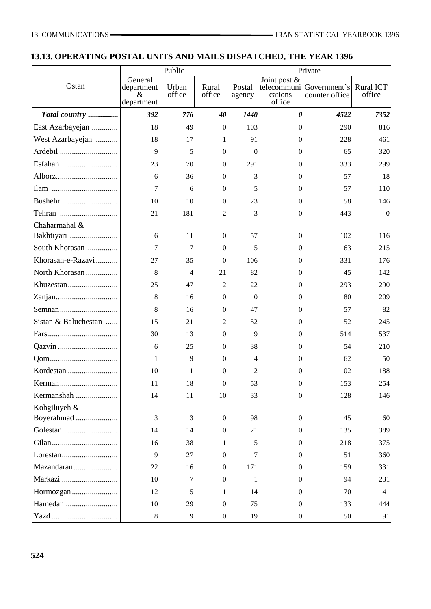# **13.13. OPERATING POSTAL UNITS AND MAILS DISPATCHED, THE YEAR 1396**

|                                                               |                                             | Public          |                  | Private          |                                                  |                                |                            |  |
|---------------------------------------------------------------|---------------------------------------------|-----------------|------------------|------------------|--------------------------------------------------|--------------------------------|----------------------------|--|
| Ostan                                                         | General<br>department<br>$\&$<br>department | Urban<br>office | Rural<br>office  | Postal<br>agency | Joint post &<br>telecommuni<br>cations<br>office | Government's<br>counter office | <b>Rural ICT</b><br>office |  |
| Total country                                                 | 392                                         | 776             | 40               | 1440             | $\boldsymbol{\theta}$                            | 4522                           | 7352                       |  |
| East Azarbayejan                                              | 18                                          | 49              | $\boldsymbol{0}$ | 103              | $\mathbf{0}$                                     | 290                            | 816                        |  |
| West Azarbayejan                                              | 18                                          | 17              | 1                | 91               | $\Omega$                                         | 228                            | 461                        |  |
|                                                               | 9                                           | 5               | $\boldsymbol{0}$ | $\boldsymbol{0}$ | $\mathbf{0}$                                     | 65                             | 320                        |  |
|                                                               | 23                                          | 70              | $\mathbf{0}$     | 291              | $\theta$                                         | 333                            | 299                        |  |
|                                                               | 6                                           | 36              | $\boldsymbol{0}$ | 3                | $\mathbf{0}$                                     | 57                             | 18                         |  |
|                                                               | 7                                           | 6               | $\boldsymbol{0}$ | 5                | $\Omega$                                         | 57                             | 110                        |  |
| Bushehr                                                       | 10                                          | 10              | $\mathbf{0}$     | 23               | $\mathbf{0}$                                     | 58                             | 146                        |  |
| Tehran                                                        | 21                                          | 181             | 2                | 3                | $\mathbf{0}$                                     | 443                            | $\mathbf{0}$               |  |
| Chaharmahal &                                                 |                                             |                 |                  |                  |                                                  |                                |                            |  |
| Bakhtiyari                                                    | 6                                           | 11              | $\mathbf{0}$     | 57               | $\mathbf{0}$                                     | 102                            | 116                        |  |
| South Khorasan                                                | 7                                           | 7               | $\mathbf{0}$     | 5                | $\mathbf{0}$                                     | 63                             | 215                        |  |
| Khorasan-e-Razavi                                             | 27                                          | 35              | $\theta$         | 106              | $\theta$                                         | 331                            | 176                        |  |
| North Khorasan                                                | 8                                           | $\overline{4}$  | 21               | 82               | $\mathbf{0}$                                     | 45                             | 142                        |  |
|                                                               | 25                                          | 47              | $\overline{2}$   | 22               | $\mathbf{0}$                                     | 293                            | 290                        |  |
|                                                               | 8                                           | 16              | $\boldsymbol{0}$ | $\Omega$         | $\Omega$                                         | 80                             | 209                        |  |
|                                                               | 8                                           | 16              | $\boldsymbol{0}$ | 47               | $\mathbf{0}$                                     | 57                             | 82                         |  |
| Sistan & Baluchestan                                          | 15                                          | 21              | 2                | 52               | $\mathbf{0}$                                     | 52                             | 245                        |  |
|                                                               | 30                                          | 13              | $\mathbf{0}$     | 9                | $\theta$                                         | 514                            | 537                        |  |
|                                                               | 6                                           | 25              | $\mathbf{0}$     | 38               | $\theta$                                         | 54                             | 210                        |  |
|                                                               | 1                                           | 9               | $\boldsymbol{0}$ | $\overline{4}$   | $\mathbf{0}$                                     | 62                             | 50                         |  |
| Kordestan                                                     | 10                                          | 11              | $\mathbf{0}$     | 2                | $\Omega$                                         | 102                            | 188                        |  |
|                                                               | 11                                          | 18              | 0                | 53               | $\mathbf{0}$                                     | 153                            | 254                        |  |
| Kermanshah                                                    | 14                                          | 11              | 10               | 33               | $\boldsymbol{0}$                                 | 128                            | 146                        |  |
| Kohgiluyeh &                                                  |                                             |                 |                  |                  |                                                  |                                |                            |  |
| Boyerahmad                                                    | 3                                           | 3               | $\boldsymbol{0}$ | 98               | $\overline{0}$                                   | 45                             | 60                         |  |
|                                                               | 14                                          | 14              | $\boldsymbol{0}$ | 21               | $\theta$                                         | 135                            | 389                        |  |
|                                                               | 16                                          | 38              | 1                | 5                | $\theta$                                         | 218                            | 375                        |  |
| $Lores \tan \ldots \ldots \ldots \ldots \ldots \ldots \ldots$ | 9                                           | 27              | $\mathbf{0}$     | 7                | $\theta$                                         | 51                             | 360                        |  |
| Mazandaran                                                    | 22                                          | 16              | $\boldsymbol{0}$ | 171              | $\boldsymbol{0}$                                 | 159                            | 331                        |  |
| Markazi                                                       | 10                                          | $\tau$          | $\boldsymbol{0}$ | $\mathbf{1}$     | $\theta$                                         | 94                             | 231                        |  |
|                                                               | 12                                          | 15              | 1                | 14               | $\theta$                                         | 70                             | 41                         |  |
| Hamedan                                                       | 10                                          | 29              | $\boldsymbol{0}$ | 75               | $\theta$                                         | 133                            | 444                        |  |
|                                                               | 8                                           | 9               | $\boldsymbol{0}$ | 19               | $\boldsymbol{0}$                                 | 50                             | 91                         |  |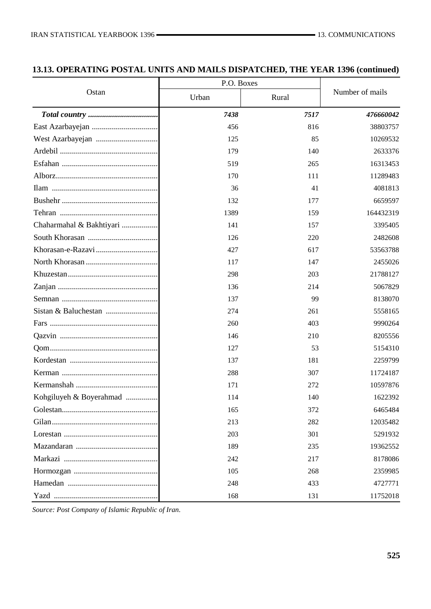## **13.13. OPERATING POSTAL UNITS AND MAILS DISPATCHED, THE YEAR 1396 (continued)**

|                          | P.O. Boxes |       |                 |
|--------------------------|------------|-------|-----------------|
| Ostan                    | Urban      | Rural | Number of mails |
|                          | 7438       | 7517  | 476660042       |
|                          | 456        | 816   | 38803757        |
|                          | 125        | 85    | 10269532        |
|                          | 179        | 140   | 2633376         |
|                          | 519        | 265   | 16313453        |
|                          | 170        | 111   | 11289483        |
|                          | 36         | 41    | 4081813         |
|                          | 132        | 177   | 6659597         |
|                          | 1389       | 159   | 164432319       |
| Chaharmahal & Bakhtiyari | 141        | 157   | 3395405         |
|                          | 126        | 220   | 2482608         |
|                          | 427        | 617   | 53563788        |
|                          | 117        | 147   | 2455026         |
|                          | 298        | 203   | 21788127        |
|                          | 136        | 214   | 5067829         |
|                          | 137        | 99    | 8138070         |
|                          | 274        | 261   | 5558165         |
|                          | 260        | 403   | 9990264         |
|                          | 146        | 210   | 8205556         |
|                          | 127        | 53    | 5154310         |
|                          | 137        | 181   | 2259799         |
|                          | 288        | 307   | 11724187        |
|                          | 171        | 272   | 10597876        |
| Kohgiluyeh & Boyerahmad  | 114        | 140   | 1622392         |
|                          | 165        | 372   | 6465484         |
|                          | 213        | 282   | 12035482        |
|                          | 203        | 301   | 5291932         |
|                          | 189        | 235   | 19362552        |
|                          | 242        | 217   | 8178086         |
|                          | 105        | 268   | 2359985         |
|                          | 248        | 433   | 4727771         |
|                          | 168        | 131   | 11752018        |

*Source: Post Company of Islamic Republic of Iran.*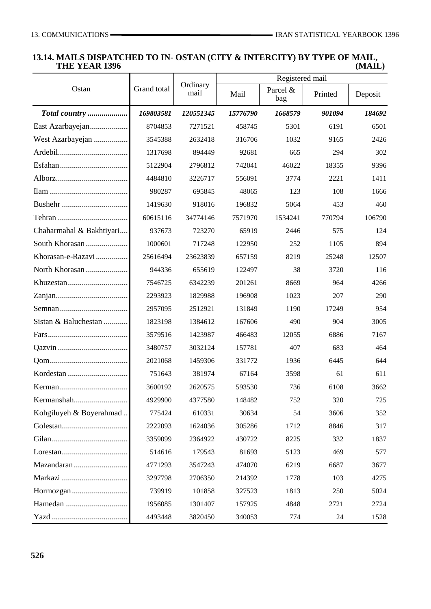#### **13.14. MAILS DISPATCHED TO IN- OSTAN (CITY & INTERCITY) BY TYPE OF MAIL, THE YEAR 1396**

|                          |             |                  | Registered mail |                 |         |         |  |
|--------------------------|-------------|------------------|-----------------|-----------------|---------|---------|--|
| Ostan                    | Grand total | Ordinary<br>mail | Mail            | Parcel &<br>bag | Printed | Deposit |  |
| Total country            | 169803581   | 120551345        | 15776790        | 1668579         | 901094  | 184692  |  |
| East Azarbayejan         | 8704853     | 7271521          | 458745          | 5301            | 6191    | 6501    |  |
| West Azarbayejan         | 3545388     | 2632418          | 316706          | 1032            | 9165    | 2426    |  |
|                          | 1317698     | 894449           | 92681           | 665             | 294     | 302     |  |
|                          | 5122904     | 2796812          | 742041          | 46022           | 18355   | 9396    |  |
|                          | 4484810     | 3226717          | 556091          | 3774            | 2221    | 1411    |  |
|                          | 980287      | 695845           | 48065           | 123             | 108     | 1666    |  |
|                          | 1419630     | 918016           | 196832          | 5064            | 453     | 460     |  |
|                          | 60615116    | 34774146         | 7571970         | 1534241         | 770794  | 106790  |  |
| Chaharmahal & Bakhtiyari | 937673      | 723270           | 65919           | 2446            | 575     | 124     |  |
| South Khorasan           | 1000601     | 717248           | 122950          | 252             | 1105    | 894     |  |
| Khorasan-e-Razavi        | 25616494    | 23623839         | 657159          | 8219            | 25248   | 12507   |  |
| North Khorasan           | 944336      | 655619           | 122497          | 38              | 3720    | 116     |  |
|                          | 7546725     | 6342239          | 201261          | 8669            | 964     | 4266    |  |
|                          | 2293923     | 1829988          | 196908          | 1023            | 207     | 290     |  |
|                          | 2957095     | 2512921          | 131849          | 1190            | 17249   | 954     |  |
| Sistan & Baluchestan     | 1823198     | 1384612          | 167606          | 490             | 904     | 3005    |  |
|                          | 3579516     | 1423987          | 466483          | 12055           | 6886    | 7167    |  |
|                          | 3480757     | 3032124          | 157781          | 407             | 683     | 464     |  |
|                          | 2021068     | 1459306          | 331772          | 1936            | 6445    | 644     |  |
|                          | 751643      | 381974           | 67164           | 3598            | 61      | 611     |  |
|                          | 3600192     | 2620575          | 593530          | 736             | 6108    | 3662    |  |
|                          | 4929900     | 4377580          | 148482          | 752             | 320     | 725     |  |
| Kohgiluyeh & Boyerahmad  | 775424      | 610331           | 30634           | 54              | 3606    | 352     |  |
|                          | 2222093     | 1624036          | 305286          | 1712            | 8846    | 317     |  |
|                          | 3359099     | 2364922          | 430722          | 8225            | 332     | 1837    |  |
|                          | 514616      | 179543           | 81693           | 5123            | 469     | 577     |  |
|                          | 4771293     | 3547243          | 474070          | 6219            | 6687    | 3677    |  |
|                          | 3297798     | 2706350          | 214392          | 1778            | 103     | 4275    |  |
|                          | 739919      | 101858           | 327523          | 1813            | 250     | 5024    |  |
|                          | 1956085     | 1301407          | 157925          | 4848            | 2721    | 2724    |  |
|                          | 4493448     | 3820450          | 340053          | 774             | 24      | 1528    |  |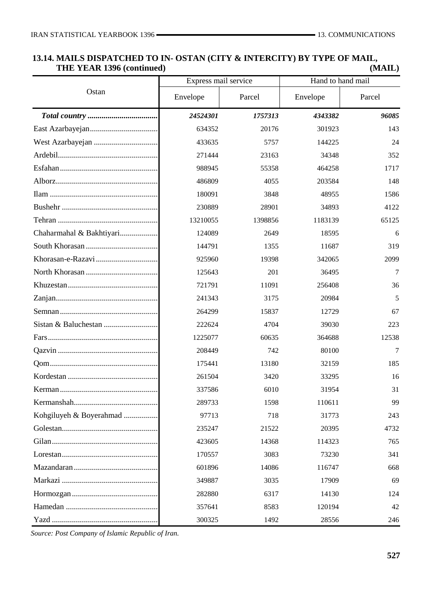## **13.14. MAILS DISPATCHED TO IN- OSTAN (CITY & INTERCITY) BY TYPE OF MAIL, THE YEAR 1396 (continued) (MAIL)**

|                                                                                                         | Express mail service |         | Hand to hand mail |        |  |
|---------------------------------------------------------------------------------------------------------|----------------------|---------|-------------------|--------|--|
| Ostan                                                                                                   | Envelope             | Parcel  | Envelope          | Parcel |  |
|                                                                                                         | 24524301             | 1757313 | 4343382           | 96085  |  |
|                                                                                                         | 634352               | 20176   | 301923            | 143    |  |
|                                                                                                         | 433635               | 5757    | 144225            | 24     |  |
|                                                                                                         | 271444               | 23163   | 34348             | 352    |  |
|                                                                                                         | 988945               | 55358   | 464258            | 1717   |  |
|                                                                                                         | 486809               | 4055    | 203584            | 148    |  |
|                                                                                                         | 180091               | 3848    | 48955             | 1586   |  |
|                                                                                                         | 230889               | 28901   | 34893             | 4122   |  |
|                                                                                                         | 13210055             | 1398856 | 1183139           | 65125  |  |
| Chaharmahal & Bakhtiyari                                                                                | 124089               | 2649    | 18595             | 6      |  |
|                                                                                                         | 144791               | 1355    | 11687             | 319    |  |
|                                                                                                         | 925960               | 19398   | 342065            | 2099   |  |
|                                                                                                         | 125643               | 201     | 36495             | 7      |  |
|                                                                                                         | 721791               | 11091   | 256408            | 36     |  |
|                                                                                                         | 241343               | 3175    | 20984             | 5      |  |
|                                                                                                         | 264299               | 15837   | 12729             | 67     |  |
|                                                                                                         | 222624               | 4704    | 39030             | 223    |  |
|                                                                                                         | 1225077              | 60635   | 364688            | 12538  |  |
|                                                                                                         | 208449               | 742     | 80100             | 7      |  |
|                                                                                                         | 175441               | 13180   | 32159             | 185    |  |
|                                                                                                         | 261504               | 3420    | 33295             | 16     |  |
|                                                                                                         | 337586               | 6010    | 31954             | 31     |  |
|                                                                                                         | 289733               | 1598    | 110611            | 99     |  |
| Kohgiluyeh & Boyerahmad                                                                                 | 97713                | 718     | 31773             | 243    |  |
|                                                                                                         | 235247               | 21522   | 20395             | 4732   |  |
|                                                                                                         | 423605               | 14368   | 114323            | 765    |  |
| $Lores \tan \ldots \ldots \ldots \ldots \ldots \ldots \ldots \ldots \ldots \ldots \ldots \ldots \ldots$ | 170557               | 3083    | 73230             | 341    |  |
|                                                                                                         | 601896               | 14086   | 116747            | 668    |  |
|                                                                                                         | 349887               | 3035    | 17909             | 69     |  |
|                                                                                                         | 282880               | 6317    | 14130             | 124    |  |
|                                                                                                         | 357641               | 8583    | 120194            | 42     |  |
|                                                                                                         | 300325               | 1492    | 28556             | 246    |  |

*Source: Post Company of Islamic Republic of Iran.*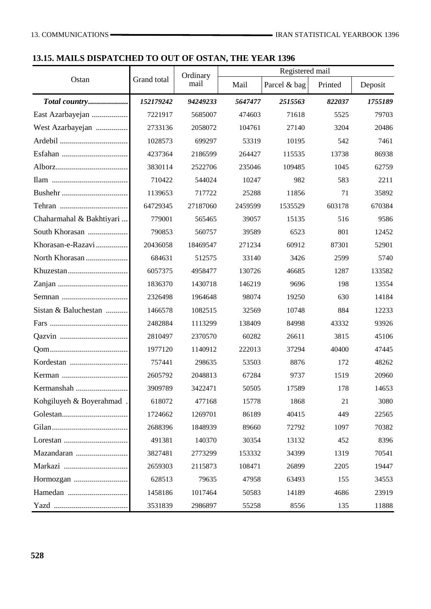## **13.15. MAILS DISPATCHED TO OUT OF OSTAN, THE YEAR 1396**

|                          |             |          | Registered mail<br>Ordinary |              |         |         |
|--------------------------|-------------|----------|-----------------------------|--------------|---------|---------|
| Ostan                    | Grand total | mail     | Mail                        | Parcel & bag | Printed | Deposit |
| Total country            | 152179242   | 94249233 | 5647477                     | 2515563      | 822037  | 1755189 |
| East Azarbayejan         | 7221917     | 5685007  | 474603                      | 71618        | 5525    | 79703   |
| West Azarbayejan         | 2733136     | 2058072  | 104761                      | 27140        | 3204    | 20486   |
|                          | 1028573     | 699297   | 53319                       | 10195        | 542     | 7461    |
|                          | 4237364     | 2186599  | 264427                      | 115535       | 13738   | 86938   |
|                          | 3830114     | 2522706  | 235046                      | 109485       | 1045    | 62759   |
|                          | 710422      | 544024   | 10247                       | 982          | 583     | 2211    |
|                          | 1139653     | 717722   | 25288                       | 11856        | 71      | 35892   |
|                          | 64729345    | 27187060 | 2459599                     | 1535529      | 603178  | 670384  |
| Chaharmahal & Bakhtiyari | 779001      | 565465   | 39057                       | 15135        | 516     | 9586    |
| South Khorasan           | 790853      | 560757   | 39589                       | 6523         | 801     | 12452   |
| Khorasan-e-Razavi        | 20436058    | 18469547 | 271234                      | 60912        | 87301   | 52901   |
| North Khorasan           | 684631      | 512575   | 33140                       | 3426         | 2599    | 5740    |
|                          | 6057375     | 4958477  | 130726                      | 46685        | 1287    | 133582  |
|                          | 1836370     | 1430718  | 146219                      | 9696         | 198     | 13554   |
|                          | 2326498     | 1964648  | 98074                       | 19250        | 630     | 14184   |
| Sistan & Baluchestan     | 1466578     | 1082515  | 32569                       | 10748        | 884     | 12233   |
|                          | 2482884     | 1113299  | 138409                      | 84998        | 43332   | 93926   |
|                          | 2810497     | 2370570  | 60282                       | 26611        | 3815    | 45106   |
|                          | 1977120     | 1140912  | 222013                      | 37294        | 40400   | 47445   |
|                          | 757441      | 298635   | 53503                       | 8876         | 172     | 48262   |
|                          | 2605792     | 2048813  | 67284                       | 9737         | 1519    | 20960   |
| Kermanshah.              | 3909789     | 3422471  | 50505                       | 17589        | 178     | 14653   |
| Kohgiluyeh & Boyerahmad  | 618072      | 477168   | 15778                       | 1868         | 21      | 3080    |
|                          | 1724662     | 1269701  | 86189                       | 40415        | 449     | 22565   |
|                          | 2688396     | 1848939  | 89660                       | 72792        | 1097    | 70382   |
|                          | 491381      | 140370   | 30354                       | 13132        | 452     | 8396    |
| Mazandaran               | 3827481     | 2773299  | 153332                      | 34399        | 1319    | 70541   |
|                          | 2659303     | 2115873  | 108471                      | 26899        | 2205    | 19447   |
|                          | 628513      | 79635    | 47958                       | 63493        | 155     | 34553   |
|                          | 1458186     | 1017464  | 50583                       | 14189        | 4686    | 23919   |
|                          | 3531839     | 2986897  | 55258                       | 8556         | 135     | 11888   |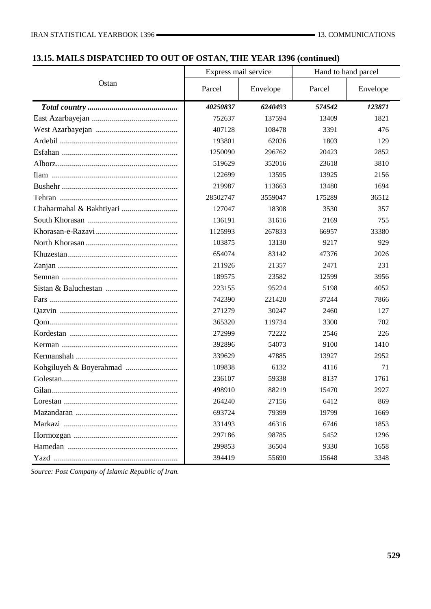## **13.15. MAILS DISPATCHED TO OUT OF OSTAN, THE YEAR 1396 (continued)**

|       | Express mail service |          | Hand to hand parcel |          |
|-------|----------------------|----------|---------------------|----------|
| Ostan | Parcel               | Envelope | Parcel              | Envelope |
|       | 40250837             | 6240493  | 574542              | 123871   |
|       | 752637               | 137594   | 13409               | 1821     |
|       | 407128               | 108478   | 3391                | 476      |
|       | 193801               | 62026    | 1803                | 129      |
|       | 1250090              | 296762   | 20423               | 2852     |
|       | 519629               | 352016   | 23618               | 3810     |
|       | 122699               | 13595    | 13925               | 2156     |
|       | 219987               | 113663   | 13480               | 1694     |
|       | 28502747             | 3559047  | 175289              | 36512    |
|       | 127047               | 18308    | 3530                | 357      |
|       | 136191               | 31616    | 2169                | 755      |
|       | 1125993              | 267833   | 66957               | 33380    |
|       | 103875               | 13130    | 9217                | 929      |
|       | 654074               | 83142    | 47376               | 2026     |
|       | 211926               | 21357    | 2471                | 231      |
|       | 189575               | 23582    | 12599               | 3956     |
|       | 223155               | 95224    | 5198                | 4052     |
|       | 742390               | 221420   | 37244               | 7866     |
|       | 271279               | 30247    | 2460                | 127      |
|       | 365320               | 119734   | 3300                | 702      |
|       | 272999               | 72222    | 2546                | 226      |
|       | 392896               | 54073    | 9100                | 1410     |
|       | 339629               | 47885    | 13927               | 2952     |
|       | 109838               | 6132     | 4116                | 71       |
|       | 236107               | 59338    | 8137                | 1761     |
|       | 498910               | 88219    | 15470               | 2927     |
|       | 264240               | 27156    | 6412                | 869      |
|       | 693724               | 79399    | 19799               | 1669     |
|       | 331493               | 46316    | 6746                | 1853     |
|       | 297186               | 98785    | 5452                | 1296     |
|       | 299853               | 36504    | 9330                | 1658     |
|       | 394419               | 55690    | 15648               | 3348     |

*Source: Post Company of Islamic Republic of Iran.*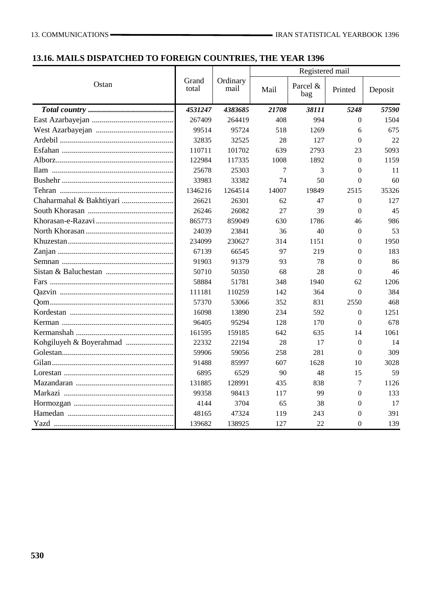## **13.16. MAILS DISPATCHED TO FOREIGN COUNTRIES, THE YEAR 1396**

|                          |                | Ordinary<br>mail | Registered mail |                 |                  |         |
|--------------------------|----------------|------------------|-----------------|-----------------|------------------|---------|
| Ostan                    | Grand<br>total |                  | Mail            | Parcel &<br>bag | Printed          | Deposit |
|                          | 4531247        | 4383685          | 21708           | 38111           | 5248             | 57590   |
|                          | 267409         | 264419           | 408             | 994             | $\Omega$         | 1504    |
|                          | 99514          | 95724            | 518             | 1269            | 6                | 675     |
|                          | 32835          | 32525            | 28              | 127             | $\overline{0}$   | 22      |
|                          | 110711         | 101702           | 639             | 2793            | 23               | 5093    |
|                          | 122984         | 117335           | 1008            | 1892            | $\mathbf{0}$     | 1159    |
|                          | 25678          | 25303            | 7               | 3               | $\overline{0}$   | 11      |
|                          | 33983          | 33382            | 74              | 50              | $\overline{0}$   | 60      |
|                          | 1346216        | 1264514          | 14007           | 19849           | 2515             | 35326   |
| Chaharmahal & Bakhtiyari | 26621          | 26301            | 62              | 47              | $\overline{0}$   | 127     |
|                          | 26246          | 26082            | 27              | 39              | $\Omega$         | 45      |
|                          | 865773         | 859049           | 630             | 1786            | 46               | 986     |
|                          | 24039          | 23841            | 36              | 40              | $\boldsymbol{0}$ | 53      |
|                          | 234099         | 230627           | 314             | 1151            | $\theta$         | 1950    |
|                          | 67139          | 66545            | 97              | 219             | $\theta$         | 183     |
|                          | 91903          | 91379            | 93              | 78              | $\theta$         | 86      |
|                          | 50710          | 50350            | 68              | 28              | $\theta$         | 46      |
|                          | 58884          | 51781            | 348             | 1940            | 62               | 1206    |
|                          | 111181         | 110259           | 142             | 364             | $\theta$         | 384     |
|                          | 57370          | 53066            | 352             | 831             | 2550             | 468     |
|                          | 16098          | 13890            | 234             | 592             | $\overline{0}$   | 1251    |
|                          | 96405          | 95294            | 128             | 170             | $\overline{0}$   | 678     |
|                          | 161595         | 159185           | 642             | 635             | 14               | 1061    |
|                          | 22332          | 22194            | 28              | 17              | $\overline{0}$   | 14      |
|                          | 59906          | 59056            | 258             | 281             | $\theta$         | 309     |
|                          | 91488          | 85997            | 607             | 1628            | 10               | 3028    |
|                          | 6895           | 6529             | 90              | 48              | 15               | 59      |
|                          | 131885         | 128991           | 435             | 838             | 7                | 1126    |
|                          | 99358          | 98413            | 117             | 99              | $\theta$         | 133     |
|                          | 4144           | 3704             | 65              | 38              | $\theta$         | 17      |
|                          | 48165          | 47324            | 119             | 243             | $\theta$         | 391     |
|                          | 139682         | 138925           | 127             | 22              | $\overline{0}$   | 139     |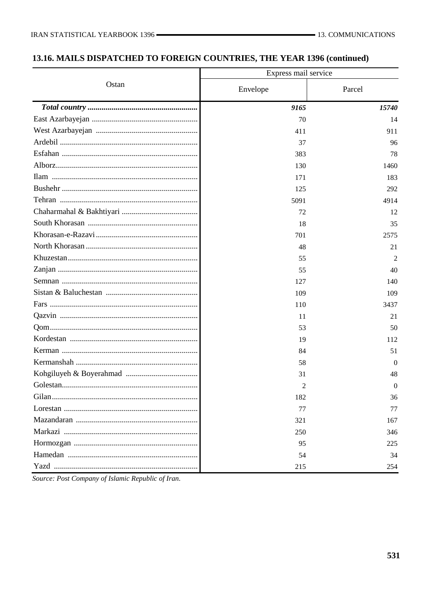# 13.16. MAILS DISPATCHED TO FOREIGN COUNTRIES, THE YEAR 1396 (continued)

|       | Express mail service |                |  |  |
|-------|----------------------|----------------|--|--|
| Ostan | Envelope             | Parcel         |  |  |
|       | 9165                 | 15740          |  |  |
|       | 70                   | 14             |  |  |
|       | 411                  | 911            |  |  |
|       | 37                   | 96             |  |  |
|       | 383                  | 78             |  |  |
|       | 130                  | 1460           |  |  |
|       | 171                  | 183            |  |  |
|       | 125                  | 292            |  |  |
|       | 5091                 | 4914           |  |  |
|       | 72                   | 12             |  |  |
|       | 18                   | 35             |  |  |
|       | 701                  | 2575           |  |  |
|       | 48                   | 21             |  |  |
|       | 55                   | 2              |  |  |
|       | 55                   | 40             |  |  |
|       | 127                  | 140            |  |  |
|       | 109                  | 109            |  |  |
|       | 110                  | 3437           |  |  |
|       | 11                   | 21             |  |  |
|       | 53                   | 50             |  |  |
|       | 19                   | 112            |  |  |
|       | 84                   | 51             |  |  |
|       | 58                   | $\Omega$       |  |  |
|       | 31                   | 48             |  |  |
|       | 2                    | $\overline{0}$ |  |  |
|       | 182                  | 36             |  |  |
|       | 77                   | 77             |  |  |
|       | 321                  | 167            |  |  |
|       | 250                  | 346            |  |  |
|       | 95                   | 225            |  |  |
|       | 54                   | 34             |  |  |
|       | 215                  | 254            |  |  |

Source: Post Company of Islamic Republic of Iran.